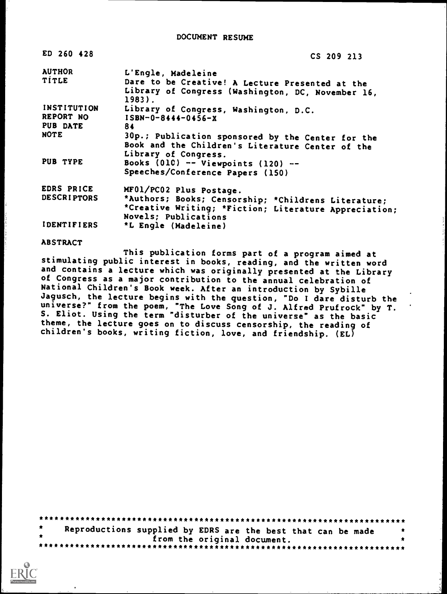DOCUMENT RESUME

| ED 260 428         | CS 209 213                                                  |
|--------------------|-------------------------------------------------------------|
| <b>AUTHOR</b>      | L'Engle, Madeleine                                          |
| <b>TITLE</b>       | Dare to be Creative! A Lecture Presented at the             |
|                    | Library of Congress (Washington, DC, November 16,<br>1983). |
| INSTITUTION        | Library of Congress, Washington, D.C.                       |
| REPORT NO          | $ISBN-0-8444-0456-X$                                        |
| PUB DATE           | 84                                                          |
| NOTE               | 30p.; Publication sponsored by the Center for the           |
|                    | Book and the Children's Literature Center of the            |
|                    | Library of Congress.                                        |
| PUB TYPE           | Books (010) $--$ Viewpoints (120) $--$                      |
|                    | Speeches/Conference Papers (150)                            |
| EDRS PRICE         | MF01/PC02 Plus Postage.                                     |
| <b>DESCRIPTORS</b> | *Authors; Books; Censorship; *Childrens Literature;         |
|                    | *Creative Writing; *Fiction; Literature Appreciation;       |
|                    | Novels; Publications                                        |
| <b>IDENTIFIERS</b> | *L Engle (Madeleine)                                        |

#### ABSTRACT

This publication forms part of a program aimed at stimulating public interest in books, reading, and the written word and contains a lecture which was originally presented at the Library of Congress as a major contribution to the annual celebration of National Children's Book week. After an introduction by Sybille Jagusch, the lecture begins with the question, "Do I dare disturb the universe?" from the poem, "The Love Song of J. Alfred Prufrock" by T. S. Eliot. Using the term "disturber of the universe" as the basic theme, the lecture goes on to discuss censorship, the reading of children's books, writing fiction, love, and friendship. (EL)

| Reproductions supplied by EDRS are the best that can be made |
|--------------------------------------------------------------|
|                                                              |
| from the original document.                                  |

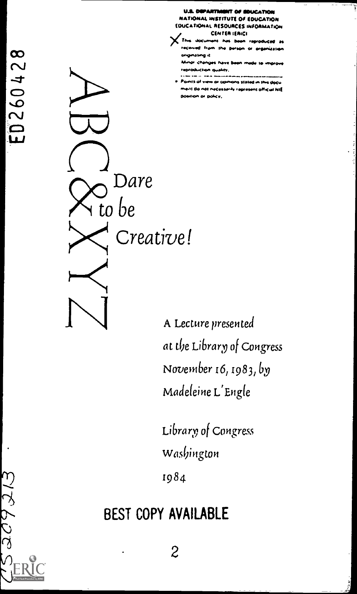U.S. DEPARTMENT OF EDUCATION NATIONAL INSTITUTE OF EDUCATION EDUCATIONAL RESOURCES INFORMATION ciNtiot if RICI

document has been reproduced as e the berson or organization eneasatent 4

Changes have be taOchoC Own waalo,

yerw or opinions stated in this docu .<br>do not necessarily represent official NIE Norton o. p4Ct.

<u>17455</u>

Dare  $\mathrm{to}\ \mathrm{be}$ Creative!

A Lecture presented at the Library of Congress November 16, 1983, by Madeleine L'Engle

Library of Congress Washington

1984

#### BEST COPY AVAILABLE

 $\overline{c}$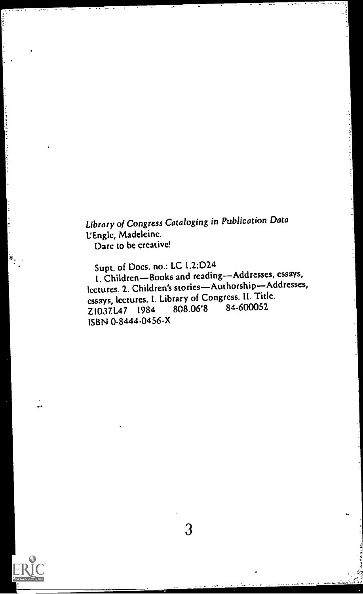Library of Congress Cataloging in Publication Data L'Englc, Madeleine. Dare to be creative!

Supt. of Docs. no.: LC 1.2:024

1. Children-Books and reading-Addresses, essays, lectures. 2. Children's stories-Authorship-Addresses, essays, lectures. 1. Library of Congress. II. Title. 2103ZL47 <sup>1984</sup> 808.06'8 84.600052 ISBN 0-8444-0456-X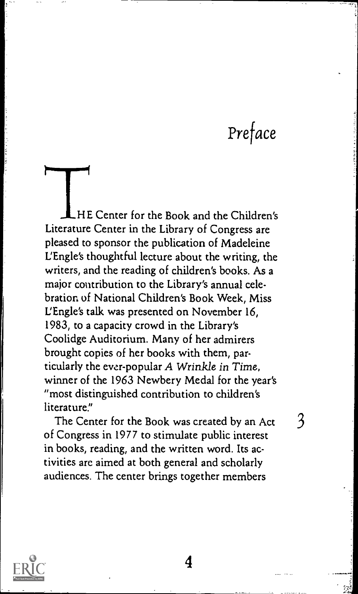## Preface

HE Center for the Book and the Children's Literature Center in the Library of Congress are pleased to sponsor the publication of Madeleine L'Engle's thoughtful lecture about the writing, the writers, and the reading of children's books. As a major contribution to the Library's annual celebration of National Children's Book Week, Miss L'Engle's talk was presented on November 16, 1983, to a capacity crowd in the Library's Coolidge Auditorium. Many of her admirers brought copies of her books with them, particularly the ever-popular A Wrinkle in Time, winner of the 1963 Newbery Medal for the year's "most distinguished contribution to children's literature."

The Center for the Book was created by an Act  $\frac{3}{2}$ of Congress in 1977 to stimulate public interest in books, reading, and the written word. Its activities are aimed at both general and scholarly audiences. The center brings together members

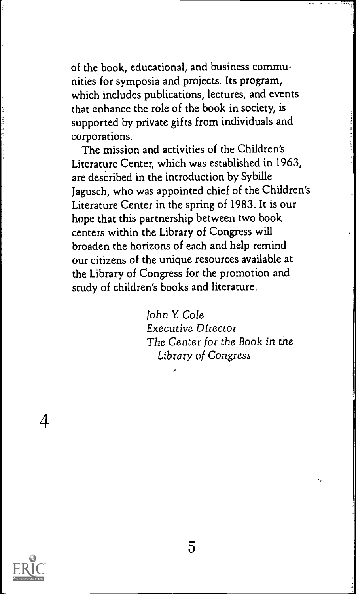of the book, educational, and business communities for symposia and projects. Its program, which includes publications, lectures, and events that enhance the role of the book in society, is supported by private gifts from individuals and corporations.

The mission and activities of the Children's Literature Center, which was established in 1963, are described in the introduction by Sybille Jagusch, who was appointed chief of the Children's Literature Center in the spring of 1983. It is our hope that this partnership between two book centers within the Library of Congress will broaden the horizons of each and help remind our citizens of the unique resources available at the Library of Congress for the promotion and study of children's books and literature.

> lohn Y Cole Executive Director The Center for the Book in the Library of Congress

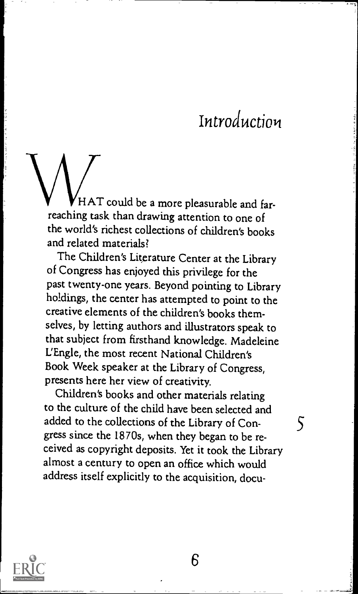## Introduction

 $\varsigma$ 

HAT could be a more pleasurable and farreaching task than drawing attention to one of the world's richest collections of children's books and related materials?

The Children's Literature Center at the Library of Congress has enjoyed this privilege for the past twenty-one years. Beyond pointing to Library holdings, the center has attempted to point to the creative elements of the children's books themselves, by letting authors and illustrators speak to that subject from firsthand knowledge. Madeleine L'Engle, the most recent National Children's Book Week speaker at the Library of Congress, presents here her view of creativity.

Children's books and other materials relating to the culture of the child have been selected and added to the collections of the Library of Congress since the 1870s, when they began to be received as copyright deposits. Yet it took the Library almost a century to open an office which would address itself explicitly to the acquisition, docu-

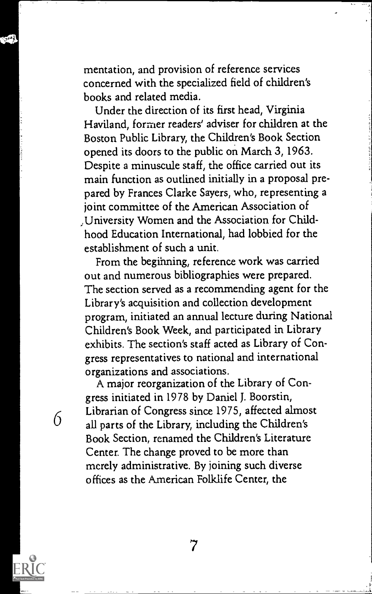mentation, and provision of reference services concerned with the specialized field of children's books and related media.

Under the direction of its first head, Virginia Haviland, former readers' adviser for children at the Boston Public Library, the Children's Book Section opened its doors to the public on March 3, 1963. Despite a minuscule staff, the office carried out its main function as outlined initially in a proposal prepared by Frances Clarke Sayers, who, representing a joint committee of the American Association of ,University Women and the Association for Childhood Education International, had lobbied for the establishment of such a unit.

From the beginning, reference work was carried out and numerous bibliographies were prepared. The section served as a recommending agent for the Library's acquisition and collection development program, initiated an annual lecture during National Children's Book Week, and participated in Library exhibits. The section's staff acted as Library of Congress representatives to national and international organizations and associations.

A major reorganization of the Library of Congress initiated in 1978 by Daniel J. Boorstin, Librarian of Congress since 1975, affected almost all parts of the Library, including the Children's Book Section, renamed the Children's Literature Center. The change proved to be more than merely administrative. By joining such diverse offices as the American Folklife Center, the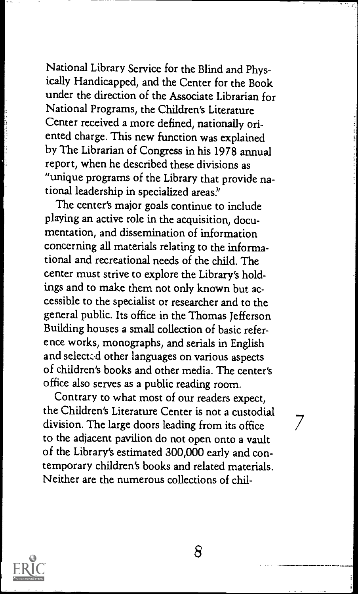National Library Service for the Blind and Physically Handicapped, and the Center for the Book under the direction of the Associate Librarian for National Programs, the Children's Literature Center received a more defined, nationally oriented charge. This new function was explained by The Librarian of Congress in his 1978 annual report, when he described these divisions as "unique programs of the Library that provide national leadership in specialized areas."

The center's major goals continue to include playing an active role in the acquisition, documentation, and dissemination of information concerning all materials relating to the informational and recreational needs of the child. The center must strive to explore the Library's holdings and to make them not only known but accessible to the specialist or researcher and to the general public. Its office in the Thomas Jefferson Building houses a small collection of basic reference works, monographs, and serials in English and selected other languages on various aspects of children's books and other media. The center's office also serves as a public reading room.

Contrary to what most of our readers expect, the Children's Literature Center is not a custodial division. The large doors leading from its office to the adjacent pavilion do not open onto a vault of the Library's estimated 300,000 early and contemporary children's books and related materials. Neither are the numerous collections of chil-

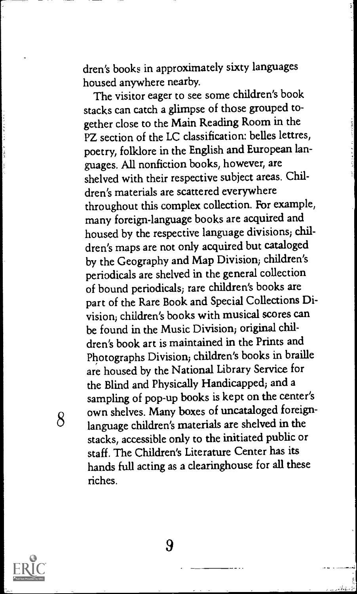dren's books in approximately sixty languages housed anywhere nearby.

The visitor eager to see some children's book stacks can catch a glimpse of those grouped together close to the Main Reading Room in the PZ section of the LC classification: belles lettres, poetry, folklore in the English and European languages. All nonfiction books, however, are shelved with their respective subject areas. Children's materials are scattered everywhere throughout this complex collection. For example, many foreign-language books are acquired and housed by the respective language divisions; children's maps are not only acquired but cataloged by the Geography and Map Division; children's periodicals are shelved in the general collection of bound periodicals; rare children's books are part of the Rare Book and Special Collections Division; children's books with musical scores can be found in the Music Division; original children's book art is maintained in the Prints and Photographs Division; children's books in braille are housed by the National Library Service for the Blind and Physically Handicapped; and a sampling of pop-up books is kept on the center's own shelves. Many boxes of uncataloged foreignlanguage children's materials are shelved in the stacks, accessible only to the initiated public or staff. The Children's Literature Center has its hands full acting as a clearinghouse for all these riches.

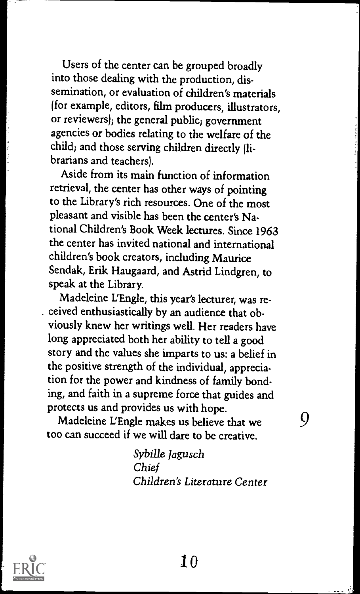Users of the center can be grouped broadly into those dealing with the production, dissemination, or evaluation of children's materials (for example, editors, film producers, illustrators, or reviewers); the general public; government agencies or bodies relating to the welfare of the child; and those serving children directly (librarians and teachers).

Aside from its main function of information retrieval, the center has other ways of pointing to the Library's rich resources. One of the most pleasant and visible has been the center's National Children's Book Week lectures. Since 1963 the center has invited national and international children's book creators, including Maurice Sendak, Erik Haugaard, and Astrid Lindgren, to speak at the Library.

Madeleine L'Engle, this year's lecturer, was received enthusiastically by an audience that obviously knew her writings well. Her readers have long appreciated both her ability to tell a good story and the values she imparts to us: a belief in the positive strength of the individual, appreciation for the power and kindness of family bonding, and faith in a supreme force that guides and protects us and provides us with hope.

Madeleine L'Engle makes us believe that we  $9$ too can succeed if we will dare to be creative.

> Sybille Jagusch Chief Children's Literature Center

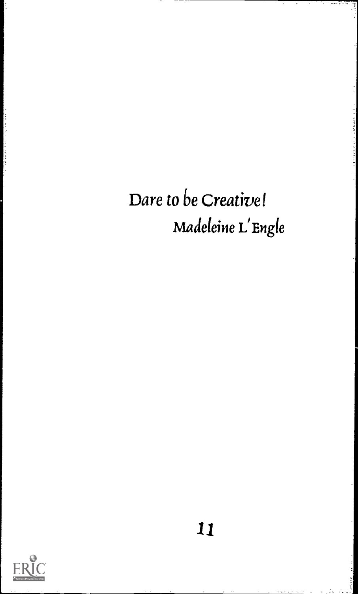# Dare to be Creative! Madeleine L' Engie

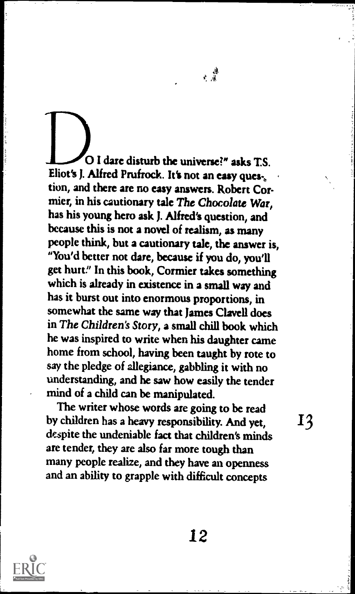$\overline{O}$  I dare disturb the universe?" asks T.S. Eliot's J. Alfred Prufrock. It's not an easy question, and there are no easy answers. Robert Cormier, in his cautionary tale The Chocolate War, has his young hero ask J. Alfred's question, and because this is not a novel of realism, as many people think, but a cautionary tale, the answer is, "You'd better not dare, because if you do, you'll get hurt." In this book, Cormier takes something which is already in existence in a small way and has it burst out into enormous proportions, in somewhat the same way that James Clavell does in The Children's Story, a small chill book which he was inspired to write when his daughter came home from school, having been taught by rote to say the pledge of allegiance, gabbling it with no understanding, and he saw how easily the tender mind of a child can be manipulated.

美囊

The writer whose words are going to be read<br>children has a heavy responsibility. And yet.  $13$ by children has a heavy responsibility. And yet, despite the undeniable fact that children's minds are tender, they are also far more tough than many people realize, and they have an openness and an ability to grapple with difficult concepts



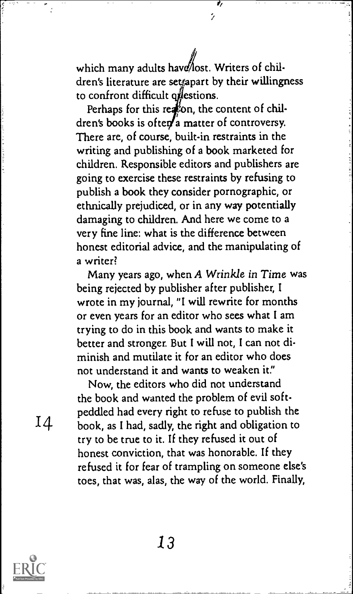which many adults have lost. Writers of children's literature are set#apart by their willingness to confront difficult questions.

t,

ż

Perhaps for this reaton, the content of children's books is often'a matter of controversy. There are, of course, built-in restraints in the writing and publishing of a book marketed for children. Responsible editors and publishers are going to exercise these restraints by refusing to publish a book they consider pornographic, or ethnically prejudiced, or in any way potentially damaging to children. And here we come to a very fine line: what is the difference between honest editorial advice, and the manipulating of a writer?

Many years ago, when A Wrinkle in Time was being rejected by publisher after publisher, I wrote in my journal, "I will rewrite for months or even years for an editor who sees what I am trying to do in this book and wants to make it better and stronger. But I will not, I can not diminish and mutilate it for an editor who does not understand it and wants to weaken it."

14 book, as I had, sadly, the right and obligation to Now, the editors who did not understand the book and wanted the problem of evil softpeddled had every right to refuse to publish the try to be true to it. If they refused it out of honest conviction, that was honorable. If they refused it for fear of trampling on someone else's toes, that was, alas, the way of the world. Finally,

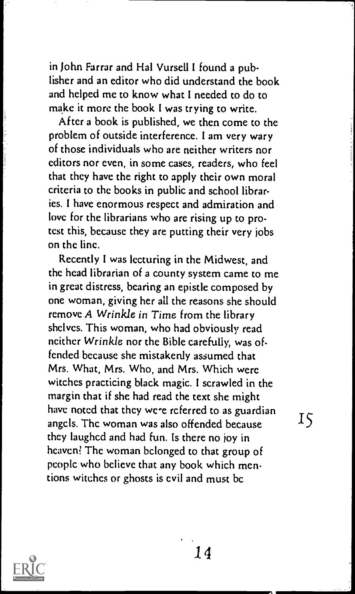in John Farrar and Hal Vursell I found a publisher and an editor who did understand the book and helped me to know what I needed to do to make it more the book I was trying to write.

After a book is published, we then come to the problem of outside interference. I am very wary of those individuals who are neither writers nor editors nor even, in some cases, readers, who feel that they have the right to apply their own moral criteria to the books in public and school libraries. I have enormous respect and admiration and love for the librarians who are rising up to protest this, because they are putting their very jobs on the line.

Recently I was lecturing in the Midwest, and the head librarian of a county system came to me in great distress, bearing an epistle composed by one woman, giving her all the reasons she should remove A Wrinkle in Time from the library shelves. This woman, who had obviously read neither Wrinkle nor the Bible carefully, was offended because she mistakenly assumed that Mrs. What, Mrs. Who, and Mrs. Which were witches practicing black magic. I scrawled in the margin that if she had read the text she might have noted that they were referred to as guardian angels. The woman was also offended because they laughed and had fun. Is there no joy in heaven? The woman belonged to that group of people who believe that any book which mentions witches or ghosts is evil and must be

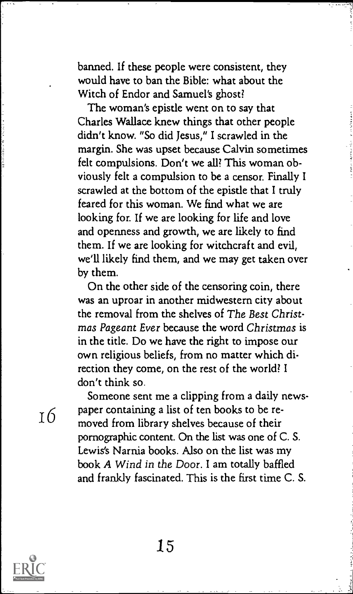banned. If these people were consistent, they would have to ban the Bible: what about the Witch of Endor and Samuel's ghost?

The woman's epistle went on to say that Charles Wallace knew things that other people didn't know. "So did Jesus," I scrawled in the margin. She was upset because Calvin sometimes felt compulsions. Don't we all? This woman obviously felt a compulsion to be a censor. Finally I scrawled at the bottom of the epistle that I truly feared for this woman. We find what we are looking for. If we are looking for life and love and openness and growth, we are likely to find them. If we are looking for witchcraft and evil, we'll likely find them, and we may get taken over by them.

On the other side of the censoring coin, there was an uproar in another midwestern city about the removal from the shelves of The Best Christmas Pageant Ever because the word Christmas is in the title. Do we have the right to impose our own religious beliefs, from no matter which direction they come, on the rest of the world? I don't think so.

16 moved from library shelves because of their Someone sent me a clipping from a daily newspaper containing a list of ten books to be repornographic content. On the list was one of C. S. Lewis's Narnia books. Also on the list was my book A Wind in the Door. I am totally baffled and frankly fascinated. This is the first time C. S.

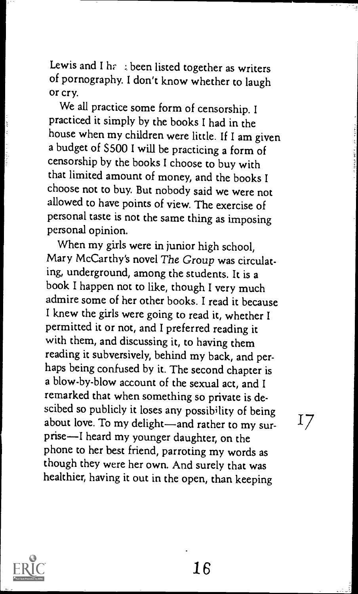Lewis and I have been listed together as writers of pornography. I don't know whether to laugh or cry.

We all practice some form of censorship. <sup>I</sup> practiced it simply by the books I had in the house when my children were little. If I am given a budget of S500 I will be practicing a form of censorship by the books I choose to buy with that limited amount of money, and the books I choose not to buy. But nobody said we were not allowed to have points of view. The exercise of personal taste is not the same thing as imposing personal opinion.

When my girls were in junior high school, Mary McCarthy's novel The Group was circulating, underground, among the students. It is a book I happen not to like, though I very much admire some of her other books. I read it because I knew the girls were going to read it, whether I permitted it or not, and I preferred reading it with them, and discussing it, to having them reading it subversively, behind my back, and perhaps being confused by it. The second chapter is a blow-by-blow account of the sexual act, and I remarked that when something so private is descibed so publicly it loses any possibility of being about love. To my delight-and rather to my surprise-I heard my younger daughter, on the phone to her best friend, parroting my words as though they were her own. And surely that was healthier, having it out in the open, than keeping



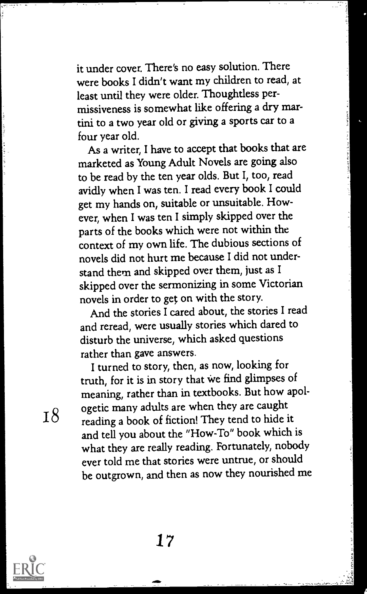it under cover. There's no easy solution. There were books I didn't want my children to read, at least until they were older. Thoughtless permissiveness is somewhat like offering a dry martini to a two year old or giving a sports car to a four year old.

As a writer, I have to accept that books that are marketed as Young Adult Novels are going also to be read by the ten year olds. But I, too, read avidly when I was ten. I read every book I could get my hands on, suitable or unsuitable. However, when I was ten I simply skipped over the parts of the books which were not within the context of my own life. The dubious sections of novels did not hurt me because I did not understand them and skipped over them, just as I skipped over the sermonizing in some Victorian novels in order to get on with the story.

And the stories I cared about, the stories I read and reread, were usually stories which dared to disturb the universe, which asked questions rather than gave answers.

18 reading a book of fiction! They tend to hide it I turned to story, then, as now, looking for truth, for it is in story that we find glimpses of meaning, rather than in textbooks. But how apologetic many adults are when they are caught and tell you about the "How-To" book which is what they are really reading. Fortunately, nobody ever told me that stories were untrue, or should be outgrown, and then as now they nourished me

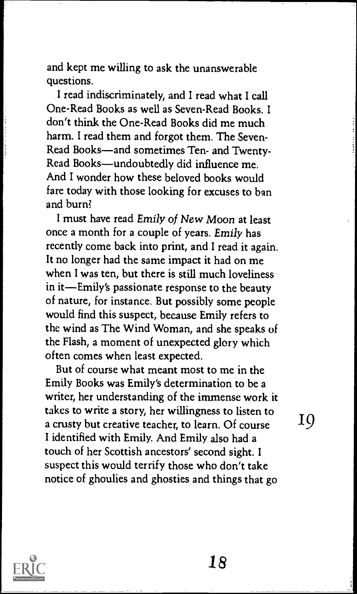and kept me willing to ask the unanswerable questions.

I read indiscriminately, and I read what I call One-Read Books as well as Seven-Read Books. I don't think the One-Read Books did me much harm. I read them and forgot them. The Seven-Read Books-and sometimes Ten- and Twenty-Read Books-undoubtedly did influence me. And I wonder how these beloved books would fare today with those looking for excuses to ban and burn?

I must have read Emily of New Moon at least once a month for a couple of years. Emily has recently come back into print, and I read it again. It no longer had the same impact it had on me when I was ten, but there is still much loveliness in it-Emily's passionate response to the beauty of nature, for instance. But possibly some people would find this suspect, because Emily refers to the wind as The Wind Woman, and she speaks of the Flash, a moment of unexpected glory which often comes when least expected.

But of course what meant most to me in the Emily Books was Emily's determination to be a writer, her understanding of the immense work it takes to write a story, her willingness to listen to a crusty but creative teacher, to learn. Of course I identified with Emily. And Emily also had a touch of her Scottish ancestors' second sight. I suspect this would terrify those who don't take notice of ghoulies and ghosties and things that go

19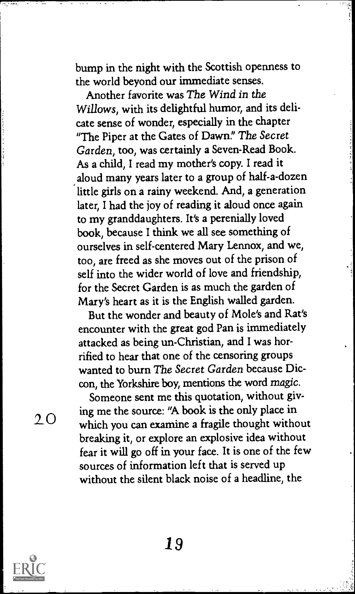bump in the night with the Scottish openness to the world beyond our immediate senses.

Another favorite was The Wind in the Willows, with its delightful humor, and its delicate sense of wonder, especially in the chapter "The Piper at the Gates of Dawn." The Secret Garden, too, was certainly a Seven-Read Book. As a child, I read my mother's copy. I read it aloud many years later to a group of half-a-dozen little girls on a rainy weekend. And, a generation later, I had the joy of reading it aloud once again to my granddaughters. It's a perenially loved book, because I think we all see something of ourselves in self-centered Mary Lennox, and we, too, are freed as she moves out of the prison of self into the wider world of love and friendship, for the Secret Garden is as much the garden of Mary's heart as it is the English walled garden.

But the wonder and beauty of Mole's and Rat's encounter with the great god Pan is immediately attacked as being un-Christian, and I was horrified to hear that one of the censoring groups wanted to burn The Secret Garden because Diccon, the Yorkshire boy, mentions the word magic.

2 O and the source: "A book is the only place in which you can examine a fragile thought without Someone sent me this quotation, without giving me the source: "A book is the only place in breaking it, or explore an explosive idea without fear it will go off in your face. It is one of the few sources of information left that is served up without the silent black noise of a headline, the



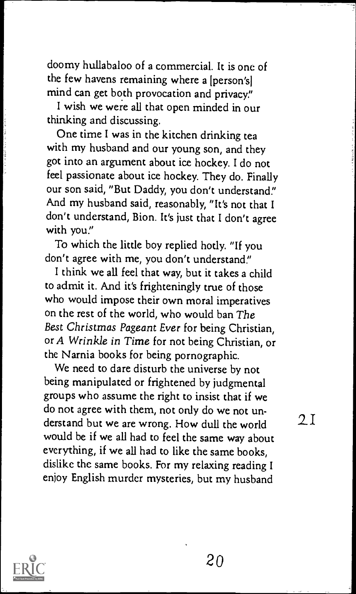doomy hullabaloo of a commercial. It is one of the few havens remaining where a [person's] mind can get both provocation and privacy!'

I wish we were all that open minded in our thinking and discussing.

One time I was in the kitchen drinking tea with my husband and our young son, and they got into an argument about ice hockey. I do not feel passionate about ice hockey. They do. Finally our son said, "But Daddy, you don't understand." And my husband said, reasonably, "It's not that I don't understand, Bion. It's just that I don't agree with you."

To which the little boy replied hotly. "If you don't agree with me, you don't understand."

I think we all feel that way, but it takes a child to admit it. And it's frighteningly true of those who would impose their own moral imperatives on the rest of the world, who would ban The Best Christmas Pageant Ever for being Christian, or A Wrinkle in Time for not being Christian, or the Narnia books for being pornographic.

We need to dare disturb the universe by not being manipulated or frightened by judgmental groups who assume the right to insist that if we do not agree with them, not only do we not understand but we are wrong. How dull the world would be if we all had to feel the same way about everything, if we all had to like the same books, dislike the same books. For my relaxing reading I enjoy English murder mysteries, but my husband

 $2I$ 

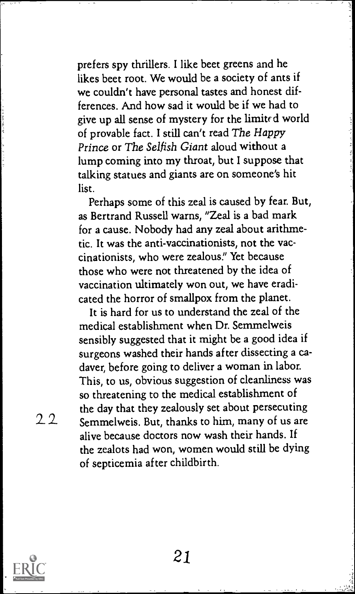prefers spy thrillers. I like beet greens and he likes beet root. We would be a society of ants if we couldn't have personal tastes and honest differences. And how sad it would be if we had to give up all sense of mystery for the limitr d world of provable fact. I still can't read The Happy Prince or The Selfish Giant aloud without a lump coming into my throat, but I suppose that talking statues and giants are on someone's hit list.

Perhaps some of this zeal is caused by fear. But, as Bertrand Russell warns, "Zeal is a bad mark for a cause. Nobody had any zeal about arithmetic. It was the anti-vaccinationists, not the vaccinationists, who were zealous." Yet because those who were not threatened by the idea of vaccination ultimately won out, we have eradicated the horror of smallpox from the planet.

the day that they zealously set about persecuting<br>22 Semmelweis. But, thanks to him, many of us are It is hard for us to understand the zeal of the medical establishment when Dr. Semmelweis sensibly suggested that it might be a good idea if surgeons washed their hands after dissecting a cadaver, before going to deliver a woman in labor. This, to us, obvious suggestion of cleanliness was so threatening to the medical establishment of the day that they zealously set about persecuting alive because doctors now wash their hands. If the zealots had won, women would still be dying of septicemia after childbirth.

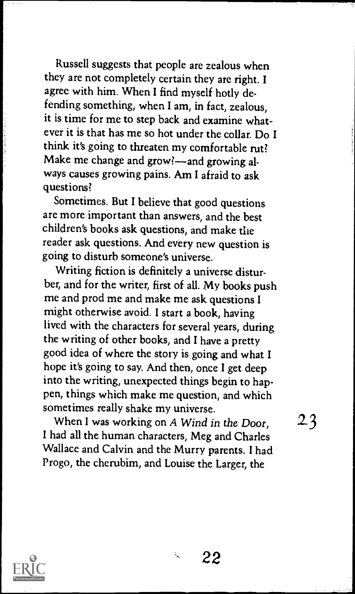Russell suggests that people are zealous when they are not completely certain they are right. I agree with him. When I find myself hotly defending something, when I am, in fact, zealous, it is time for me to step back and examine whatever it is that has me so hot under the collar. Do I think it's going to threaten my comfortable rut? Make me change and grow?—and growing always causes growing pains. Am I afraid to ask questions?

Sometimes. But I believe that good questions are more important than answers, and the best children's books ask questions, and make the reader ask questions. And every new question is going to disturb someone's universe.

Writing fiction is definitely a universe disturber, and for the writer, first of all. My books push me and prod me and make me ask questions I might otherwise avoid. I start a book, having lived with the characters for several years, during the writing of other books, and I have a pretty good idea of where the story is going and what I hope it's going to say. And then, once I get deep into the writing, unexpected things begin to happen, things which make me question, and which sometimes really shake my universe.

When I was working on A Wind in the Door, I had all the human characters, Meg and Charles Wallace and Calvin and the Murry parents. I had Progo, the cherubim, and Louise the Larger, the

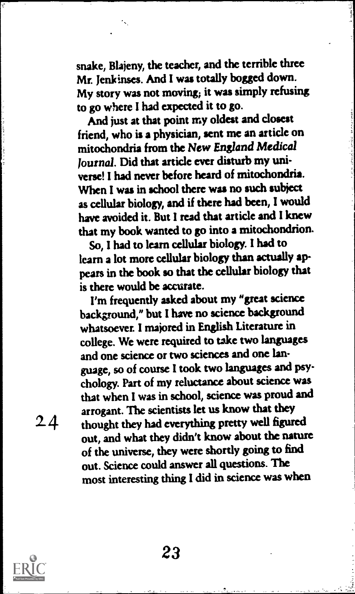snake, Blajeny, the teacher, and the terrible three Mr. Jenkinses. And I was totally bogged down. My story was not moving; it was simply refusing to go where I had expected it to go.

And just at that point my oldest and closest friend, who is a physician, sent me an article on mitochondria from the New England Medical Journal. Did that article ever disturb my universe! I had never before heard of mitochondria. When I was in school there was no such subject as cellular biology, and if there had been, I would have avoided it. But I read that article and I knew that my book wanted to go into a mitochondrion.

So, I had to learn cellular biology. I had to learn a lot more cellular biology than actually appears in the book so that the cellular biology that is there would be accurate.

I'm frequently asked about my "great science background," but I have no science background whatsoever. I majored in English Literature in college. We were required to take two languages and one science or two sciences and one language, so of course I took two languages and psychology. Part of my reluctance about science was that when I was in school, science was proud and arrogant. The scientists let us know that they  $24$  thought they had everything pretty well figured out, and what they didn't know about the nature of the universe, they were shortly going to find out. Science could answer all questions. The most interesting thing I did in science was when

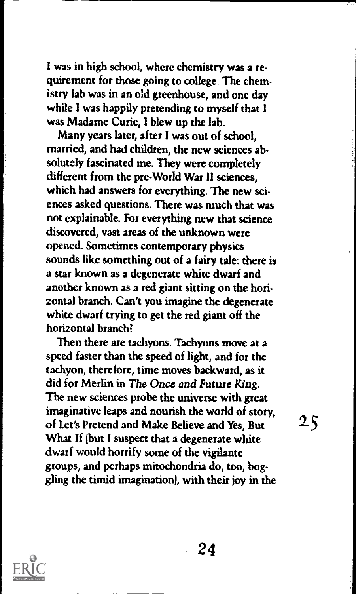I was in high school, where chemistry was a requirement for those going to college. The chemistry lab was in an old greenhouse, and one day while I was happily pretending to myself that I was Madame Curie, I blew up the lab.

Many years later, after I was out of school, married, and had children, the new sciences absolutely fascinated me. They were completely different from the pre-World War II sciences, which had answers for everything. The new sciences asked questions. There was much that was not explainable. For everything new that science discovered, vast areas of the unknown were opened. Sometimes contemporary physics sounds like something out of a fairy tale: there is a star known as a degenerate white dwarf and another known as a red giant sitting on the horizontal branch. Can't you imagine the degenerate white dwarf trying to get the red giant off the horizontal branch?

Then there are tachyons. Tachyons move at a speed faster than the speed of light, and for the tachyon, therefore, time moves backward, as it did for Merlin in The Once and Future King. The new sciences probe the universe with great imaginative leaps and nourish the world of story, of Let's Pretend and Make Believe and Yes, But What If (but I suspect that a degenerate white dwarf would horrify some of the vigilante groups, and perhaps mitochondria do, too, boggling the timid imagination), with their joy in the

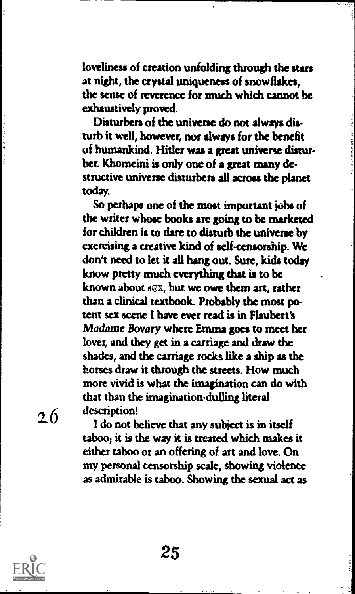loveliness of creation unfolding through the stars at night, the crystal uniqueness of snowflakes, the sense of reverence for much which cannot be exhaustively proved.

Disturbers of the universe do not always disturb it well, however, nor always for the benefit of humankind. Hitler was a great universe disturber. Khomeini is only one of a great many destructive universe disturbers all across the planet today.

So perhaps one of the most important jobs of the writer whose books arc going to be marketed for children is to dare to disturb the universe by exercising a creative kind of self-censorship. We don't need to let it all hang out. Sure, kids today know pretty much everything that is to be known about sex, but we owe them art, rather than a clinical textbook. Probably the most potent sex scene I have ever read is in Flaubert' Madame Bovary where Emma goes to meet her lover, and they get in a carriage and draw the shades, and the carriage rocks like a ship as the horses draw it through the streets. How much more vivid is what the imagination can do with that than the imagination-dulling literal description!

 $2.6\qquad \frac{\text{description}}{\text{I do not believe that any subject is in itself}}$ taboo; it is the way it is treated which makes it either taboo or an offering of art and love. On my personal censorship scale, showing violence as admirable is taboo. Showing the sexual act as

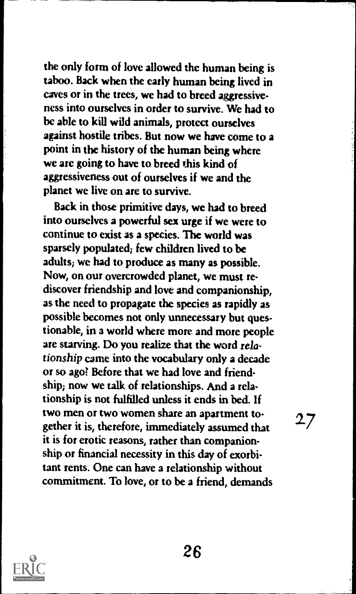the only form of love allowed the human being is taboo. Back when the early human being lived in caves or in the trees, we had to breed aggressiveness into ourselves in order to survive. We had to be able to kill wild animals, protect ourselves against hostile tribes. But now we have come to a point in the history of the human being where we are going to have to breed this kind of aggressiveness out of ourselves if we and the planet we live on are to survive.

Back in those primitive days, we had to breed into ourselves a powerful sex urge if we were to continue to exist as a species. The world was sparsely populated; few children lived to be adults; we had to produce as many as possible. Now, on our overcrowded planet, we must rediscover friendship and love and companionship, as the need to propagate the species as rapidly as possible becomes not only unnecessary but questionable, in a world where more and more people are starving. Do you realize that the word relationship came into the vocabulary only a decade or so ago? Before that we had love and friendship; now we talk of relationships. And a relationship is not fulfilled unless it ends in bed. If two men or two women share an apartment together it is, therefore, immediately assumed that it is for erotic reasons, rather than companionship or financial necessity in this day of exorbitant rents. One can have a relationship without commitment. To love, or to be a friend, demands

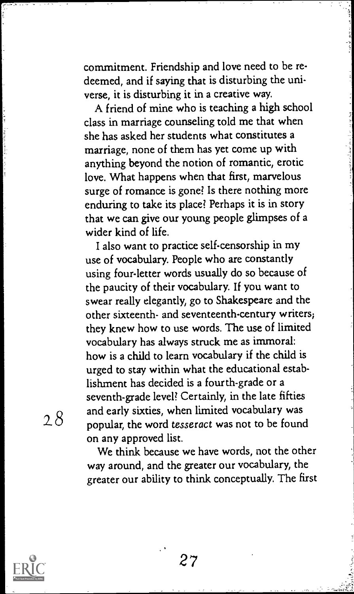commitment. Friendship and love need to be redeemed, and if saying that is disturbing the universe, it is disturbing it in a creative way.

A friend of mine who is teaching a high school class in marriage counseling told me that when she has asked her students what constitutes a marriage, none of them has yet come up with anything beyond the notion of romantic, erotic love. What happens when that first, marvelous surge of romance is gone? Is there nothing more enduring to take its place? Perhaps it is in story that we can give our young people glimpses of a wider kind of life.

 $28$  and early sixties, when limited vocabulary was<br> $28$  popular, the word tesseract was not to be found I also want to practice self-censorship in my use of vocabulary. People who are constantly using four-letter words usually do so because of the paucity of their vocabulary. If you want to swear really elegantly, go to Shakespeare and the other sixteenth- and seventeenth-century writers; they knew how to use words. The use of limited vocabulary has always struck me as immoral: how is a child to learn vocabulary if the child is urged to stay within what the educational establishment has decided is a fourth-grade or a seventh-grade level? Certainly, in the late fifties and early sixties, when limited vocabulary was on any approved list.

> We think because we have words, not the other way around, and the greater our vocabulary, the greater our ability to think conceptually. The first

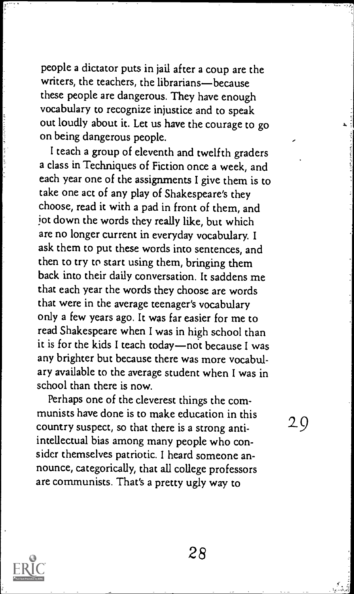people a dictator puts in jail after a coup are the writers, the teachers, the librarians-because these people are dangerous. They have enough vocabulary to recognize injustice and to speak out loudly about it. Let us have the courage to go on being dangerous people.

I teach a group of eleventh and twelfth graders a class in Techniques of Fiction once a week, and each year one of the assignments I give them is to take one act of any play of Shakespeare's they choose, read it with a pad in front of them, and jot down the words they really like, but which are no longer current in everyday vocabulary. I ask them to put these words into sentences, and then to try to start using them, bringing them back into their daily conversation. It saddens me that each year the words they choose are words that were in the average teenager's vocabulary only a few years ago. It was far easier for me to read Shakespeare when I was in high school than it is for the kids I teach today-not because I was any brighter but because there was more vocabulary available to the average student when I was in school than there is now.

Perhaps one of the cleverest things the communists have done is to make education in this country suspect, so that there is a strong antiintellectual bias among many people who consider themselves patriotic. I heard someone announce, categorically, that all college professors are communists. That's a pretty ugly way to



28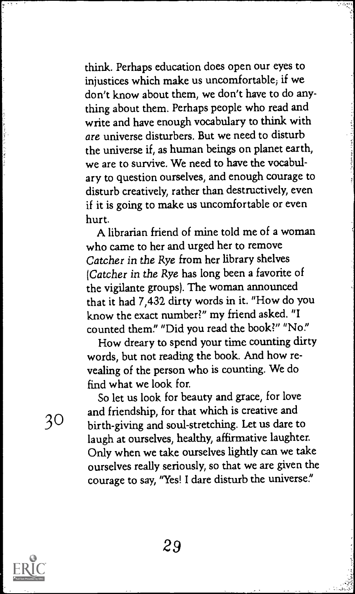think. Perhaps education does open our eyes to injustices which make us uncomfortable; if we don't know about them, we don't have to do anything about them. Perhaps people who read and write and have enough vocabulary to think with are universe disturbers. But we need to disturb the universe if, as human beings on planet earth, we are to survive. We need to have the vocabulary to question ourselves, and enough courage to disturb creatively, rather than destructively, even if it is going to make us uncomfortable or even hurt.

A librarian friend of mine told me of a woman who came to her and urged her to remove Catcher in the Rye from her library shelves (Catcher in the Rye has long been a favorite of the vigilante groups). The woman announced that it had 7,432 dirty words in it. "How do you know the exact number?" my friend asked. "I counted them." "Did you read the book?" "No."

How dreary to spend your time counting dirty words, but not reading the book. And how revealing of the person who is counting. We do find what we look for.

30 and mendship, for that which is creative and<br>30 birth-giving and soul-stretching. Let us dare to So let us look for beauty and grace, for love and friendship, for that which is creative and laugh at ourselves, healthy, affirmative laughter. Only when we take ourselves lightly can we take ourselves really seriously, so that we are given the courage to say, "Yes! I dare disturb the universe."